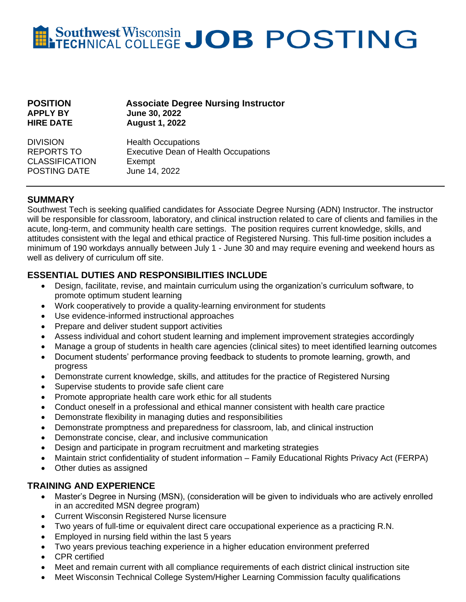# Southwest Wisconsin JOB POSTING

| <b>POSITION</b>  | <b>Associate Degree Nursing Instructor</b> |
|------------------|--------------------------------------------|
| <b>APPLY BY</b>  | <b>June 30, 2022</b>                       |
| <b>HIRE DATE</b> | <b>August 1, 2022</b>                      |
| <b>DIVISION</b>  | <b>Health Occupations</b>                  |

CLASSIFICATION Exempt POSTING DATE June 14, 2022

REPORTS TO Executive Dean of Health Occupations

## **SUMMARY**

Southwest Tech is seeking qualified candidates for Associate Degree Nursing (ADN) Instructor. The instructor will be responsible for classroom, laboratory, and clinical instruction related to care of clients and families in the acute, long-term, and community health care settings. The position requires current knowledge, skills, and attitudes consistent with the legal and ethical practice of Registered Nursing. This full-time position includes a minimum of 190 workdays annually between July 1 - June 30 and may require evening and weekend hours as well as delivery of curriculum off site.

### **ESSENTIAL DUTIES AND RESPONSIBILITIES INCLUDE**

- Design, facilitate, revise, and maintain curriculum using the organization's curriculum software, to promote optimum student learning
- Work cooperatively to provide a quality-learning environment for students
- Use evidence-informed instructional approaches
- Prepare and deliver student support activities
- Assess individual and cohort student learning and implement improvement strategies accordingly
- Manage a group of students in health care agencies (clinical sites) to meet identified learning outcomes
- Document students' performance proving feedback to students to promote learning, growth, and progress
- Demonstrate current knowledge, skills, and attitudes for the practice of Registered Nursing
- Supervise students to provide safe client care
- Promote appropriate health care work ethic for all students
- Conduct oneself in a professional and ethical manner consistent with health care practice
- Demonstrate flexibility in managing duties and responsibilities
- Demonstrate promptness and preparedness for classroom, lab, and clinical instruction
- Demonstrate concise, clear, and inclusive communication
- Design and participate in program recruitment and marketing strategies
- Maintain strict confidentiality of student information Family Educational Rights Privacy Act (FERPA)
- Other duties as assigned

## **TRAINING AND EXPERIENCE**

- Master's Degree in Nursing (MSN), (consideration will be given to individuals who are actively enrolled in an accredited MSN degree program)
- Current Wisconsin Registered Nurse licensure
- Two years of full-time or equivalent direct care occupational experience as a practicing R.N.
- Employed in nursing field within the last 5 years
- Two years previous teaching experience in a higher education environment preferred
- CPR certified
- Meet and remain current with all compliance requirements of each district clinical instruction site
- Meet Wisconsin Technical College System/Higher Learning Commission faculty qualifications